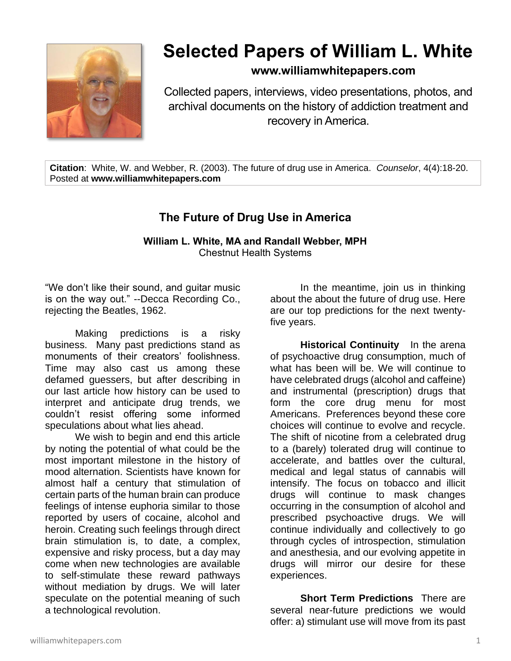

## **Selected Papers of William L. White**

## **www.williamwhitepapers.com**

Collected papers, interviews, video presentations, photos, and archival documents on the history of addiction treatment and recovery in America.

**Citation**: White, W. and Webber, R. (2003). The future of drug use in America. *Counselor*, 4(4):18-20. Posted at **www.williamwhitepapers.com**

## **The Future of Drug Use in America**

## **William L. White, MA and Randall Webber, MPH**  Chestnut Health Systems

"We don't like their sound, and guitar music is on the way out." --Decca Recording Co., rejecting the Beatles, 1962.

Making predictions is a risky business. Many past predictions stand as monuments of their creators' foolishness. Time may also cast us among these defamed guessers, but after describing in our last article how history can be used to interpret and anticipate drug trends, we couldn't resist offering some informed speculations about what lies ahead.

We wish to begin and end this article by noting the potential of what could be the most important milestone in the history of mood alternation. Scientists have known for almost half a century that stimulation of certain parts of the human brain can produce feelings of intense euphoria similar to those reported by users of cocaine, alcohol and heroin. Creating such feelings through direct brain stimulation is, to date, a complex, expensive and risky process, but a day may come when new technologies are available to self-stimulate these reward pathways without mediation by drugs. We will later speculate on the potential meaning of such a technological revolution.

In the meantime, join us in thinking about the about the future of drug use. Here are our top predictions for the next twentyfive years.

**Historical Continuity** In the arena of psychoactive drug consumption, much of what has been will be. We will continue to have celebrated drugs (alcohol and caffeine) and instrumental (prescription) drugs that form the core drug menu for most Americans. Preferences beyond these core choices will continue to evolve and recycle. The shift of nicotine from a celebrated drug to a (barely) tolerated drug will continue to accelerate, and battles over the cultural, medical and legal status of cannabis will intensify. The focus on tobacco and illicit drugs will continue to mask changes occurring in the consumption of alcohol and prescribed psychoactive drugs. We will continue individually and collectively to go through cycles of introspection, stimulation and anesthesia, and our evolving appetite in drugs will mirror our desire for these experiences.

**Short Term Predictions** There are several near-future predictions we would offer: a) stimulant use will move from its past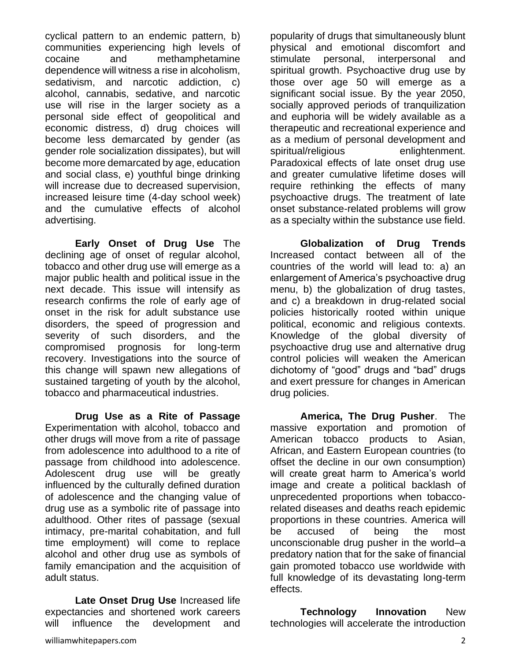cyclical pattern to an endemic pattern, b) communities experiencing high levels of cocaine and methamphetamine dependence will witness a rise in alcoholism, sedativism, and narcotic addiction, c) alcohol, cannabis, sedative, and narcotic use will rise in the larger society as a personal side effect of geopolitical and economic distress, d) drug choices will become less demarcated by gender (as gender role socialization dissipates), but will become more demarcated by age, education and social class, e) youthful binge drinking will increase due to decreased supervision, increased leisure time (4-day school week) and the cumulative effects of alcohol advertising.

**Early Onset of Drug Use** The declining age of onset of regular alcohol, tobacco and other drug use will emerge as a major public health and political issue in the next decade. This issue will intensify as research confirms the role of early age of onset in the risk for adult substance use disorders, the speed of progression and severity of such disorders, and the compromised prognosis for long-term recovery. Investigations into the source of this change will spawn new allegations of sustained targeting of youth by the alcohol, tobacco and pharmaceutical industries.

**Drug Use as a Rite of Passage**  Experimentation with alcohol, tobacco and other drugs will move from a rite of passage from adolescence into adulthood to a rite of passage from childhood into adolescence. Adolescent drug use will be greatly influenced by the culturally defined duration of adolescence and the changing value of drug use as a symbolic rite of passage into adulthood. Other rites of passage (sexual intimacy, pre-marital cohabitation, and full time employment) will come to replace alcohol and other drug use as symbols of family emancipation and the acquisition of adult status.

**Late Onset Drug Use** Increased life expectancies and shortened work careers will influence the development and

popularity of drugs that simultaneously blunt physical and emotional discomfort and stimulate personal, interpersonal and spiritual growth. Psychoactive drug use by those over age 50 will emerge as a significant social issue. By the year 2050, socially approved periods of tranquilization and euphoria will be widely available as a therapeutic and recreational experience and as a medium of personal development and spiritual/religious enlightenment. Paradoxical effects of late onset drug use and greater cumulative lifetime doses will require rethinking the effects of many psychoactive drugs. The treatment of late onset substance-related problems will grow as a specialty within the substance use field.

**Globalization of Drug Trends** Increased contact between all of the countries of the world will lead to: a) an enlargement of America's psychoactive drug menu, b) the globalization of drug tastes, and c) a breakdown in drug-related social policies historically rooted within unique political, economic and religious contexts. Knowledge of the global diversity of psychoactive drug use and alternative drug control policies will weaken the American dichotomy of "good" drugs and "bad" drugs and exert pressure for changes in American drug policies.

**America, The Drug Pusher**. The massive exportation and promotion of American tobacco products to Asian, African, and Eastern European countries (to offset the decline in our own consumption) will create great harm to America's world image and create a political backlash of unprecedented proportions when tobaccorelated diseases and deaths reach epidemic proportions in these countries. America will be accused of being the most unconscionable drug pusher in the world–a predatory nation that for the sake of financial gain promoted tobacco use worldwide with full knowledge of its devastating long-term effects.

**Technology Innovation** New technologies will accelerate the introduction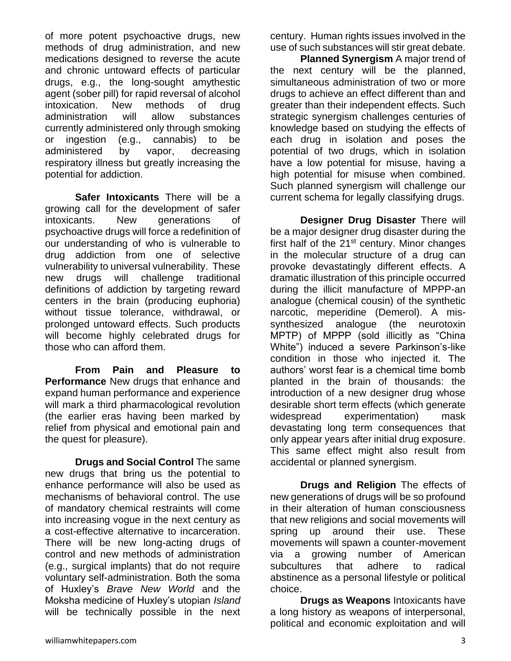of more potent psychoactive drugs, new methods of drug administration, and new medications designed to reverse the acute and chronic untoward effects of particular drugs, e.g., the long-sought amythestic agent (sober pill) for rapid reversal of alcohol intoxication. New methods of drug administration will allow substances currently administered only through smoking or ingestion (e.g., cannabis) to be administered by vapor, decreasing respiratory illness but greatly increasing the potential for addiction.

**Safer Intoxicants** There will be a growing call for the development of safer intoxicants. New generations of psychoactive drugs will force a redefinition of our understanding of who is vulnerable to drug addiction from one of selective vulnerability to universal vulnerability. These new drugs will challenge traditional definitions of addiction by targeting reward centers in the brain (producing euphoria) without tissue tolerance, withdrawal, or prolonged untoward effects. Such products will become highly celebrated drugs for those who can afford them.

**From Pain and Pleasure to Performance** New drugs that enhance and expand human performance and experience will mark a third pharmacological revolution (the earlier eras having been marked by relief from physical and emotional pain and the quest for pleasure).

**Drugs and Social Control** The same new drugs that bring us the potential to enhance performance will also be used as mechanisms of behavioral control. The use of mandatory chemical restraints will come into increasing vogue in the next century as a cost-effective alternative to incarceration. There will be new long-acting drugs of control and new methods of administration (e.g., surgical implants) that do not require voluntary self-administration. Both the soma of Huxley's *Brave New World* and the Moksha medicine of Huxley's utopian *Island* will be technically possible in the next century. Human rights issues involved in the use of such substances will stir great debate.

**Planned Synergism** A major trend of the next century will be the planned, simultaneous administration of two or more drugs to achieve an effect different than and greater than their independent effects. Such strategic synergism challenges centuries of knowledge based on studying the effects of each drug in isolation and poses the potential of two drugs, which in isolation have a low potential for misuse, having a high potential for misuse when combined. Such planned synergism will challenge our current schema for legally classifying drugs.

**Designer Drug Disaster** There will be a major designer drug disaster during the first half of the 21<sup>st</sup> century. Minor changes in the molecular structure of a drug can provoke devastatingly different effects. A dramatic illustration of this principle occurred during the illicit manufacture of MPPP-an analogue (chemical cousin) of the synthetic narcotic, meperidine (Demerol). A missynthesized analogue (the neurotoxin MPTP) of MPPP (sold illicitly as "China White") induced a severe Parkinson's-like condition in those who injected it. The authors' worst fear is a chemical time bomb planted in the brain of thousands: the introduction of a new designer drug whose desirable short term effects (which generate widespread experimentation) mask devastating long term consequences that only appear years after initial drug exposure. This same effect might also result from accidental or planned synergism.

**Drugs and Religion** The effects of new generations of drugs will be so profound in their alteration of human consciousness that new religions and social movements will spring up around their use. These movements will spawn a counter-movement via a growing number of American subcultures that adhere to radical abstinence as a personal lifestyle or political choice.

**Drugs as Weapons** Intoxicants have a long history as weapons of interpersonal, political and economic exploitation and will